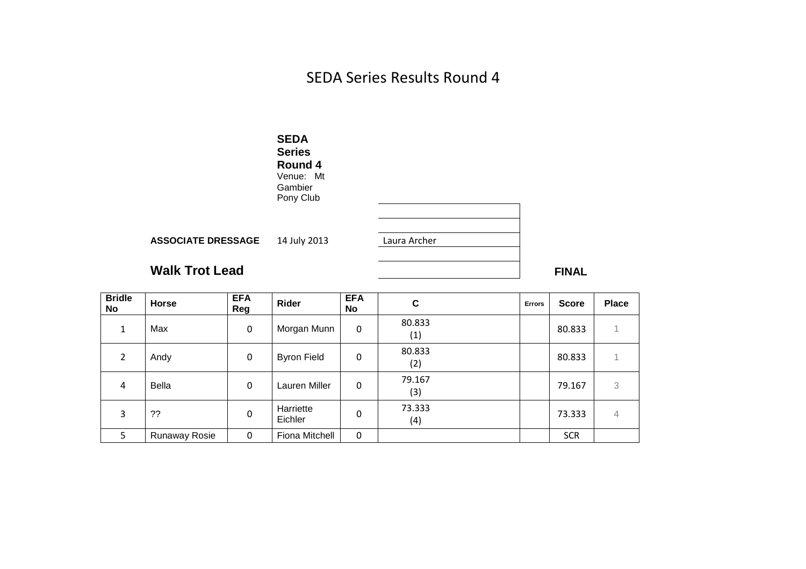SEDA Series Results Round 4



| <b>Bridle</b><br>No | <b>Horse</b>  | <b>EFA</b><br>Reg | Rider                | <b>EFA</b><br><b>No</b> | C             | <b>Errors</b> | <b>Score</b> | <b>Place</b> |
|---------------------|---------------|-------------------|----------------------|-------------------------|---------------|---------------|--------------|--------------|
| $\mathbf{1}$        | Max           | 0                 | Morgan Munn          | 0                       | 80.833<br>(1) |               | 80.833       |              |
| 2                   | Andy          | $\mathbf 0$       | <b>Byron Field</b>   | 0                       | 80.833<br>(2) |               | 80.833       |              |
| 4                   | <b>Bella</b>  | 0                 | Lauren Miller        | 0                       | 79.167<br>(3) |               | 79.167       | 3            |
| 3                   | ??            | $\Omega$          | Harriette<br>Eichler | 0                       | 73.333<br>(4) |               | 73.333       | 4            |
| 5                   | Runaway Rosie | $\Omega$          | Fiona Mitchell       | 0                       |               |               | <b>SCR</b>   |              |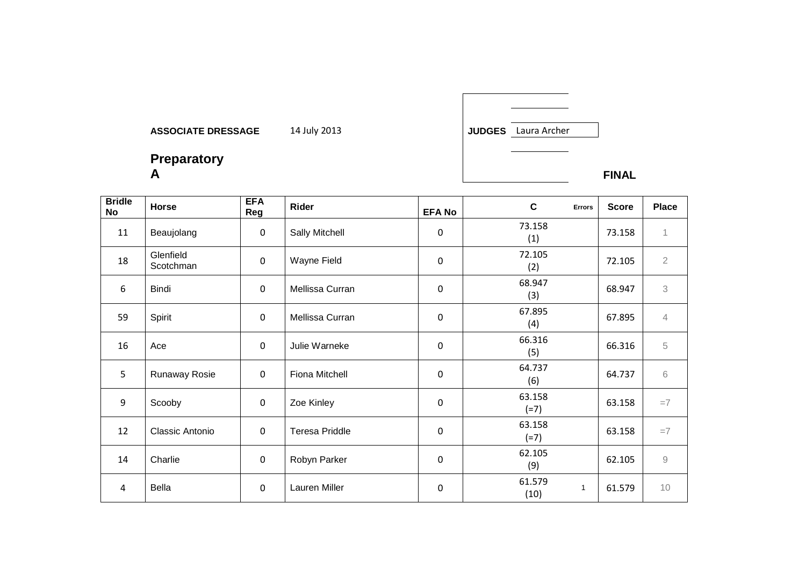

**Preparatory A FINAL** 

| <b>Bridle</b><br><b>No</b> | Horse                  | <b>EFA</b><br>Reg | Rider                 | <b>EFA No</b> | $\mathbf c$      | <b>Errors</b> | <b>Score</b> | <b>Place</b>        |
|----------------------------|------------------------|-------------------|-----------------------|---------------|------------------|---------------|--------------|---------------------|
| 11                         | Beaujolang             | $\mathbf{0}$      | Sally Mitchell        | $\mathbf 0$   | 73.158<br>(1)    |               | 73.158       | 1                   |
| 18                         | Glenfield<br>Scotchman | $\mathbf 0$       | Wayne Field           | $\mathbf 0$   | 72.105<br>(2)    |               | 72.105       | $\overline{2}$      |
| 6                          | Bindi                  | $\mathbf 0$       | Mellissa Curran       | $\pmb{0}$     | 68.947<br>(3)    |               | 68.947       | 3                   |
| 59                         | Spirit                 | $\mathbf 0$       | Mellissa Curran       | $\mathbf 0$   | 67.895<br>(4)    |               | 67.895       | $\overline{4}$      |
| 16                         | Ace                    | $\mathbf{0}$      | Julie Warneke         | $\mathbf 0$   | 66.316<br>(5)    |               | 66.316       | 5                   |
| 5                          | Runaway Rosie          | $\mathbf 0$       | Fiona Mitchell        | $\mathbf 0$   | 64.737<br>(6)    |               | 64.737       | 6                   |
| 9                          | Scooby                 | $\mathbf 0$       | Zoe Kinley            | $\pmb{0}$     | 63.158<br>$(=7)$ |               | 63.158       | $=7$                |
| 12                         | Classic Antonio        | $\mathbf 0$       | <b>Teresa Priddle</b> | $\mathbf 0$   | 63.158<br>$(=7)$ |               | 63.158       | $=7$                |
| 14                         | Charlie                | $\mathbf 0$       | Robyn Parker          | 0             | 62.105<br>(9)    |               | 62.105       | $\mathcal{G}% _{0}$ |
| 4                          | Bella                  | 0                 | Lauren Miller         | $\mathbf 0$   | 61.579<br>(10)   | 1             | 61.579       | 10                  |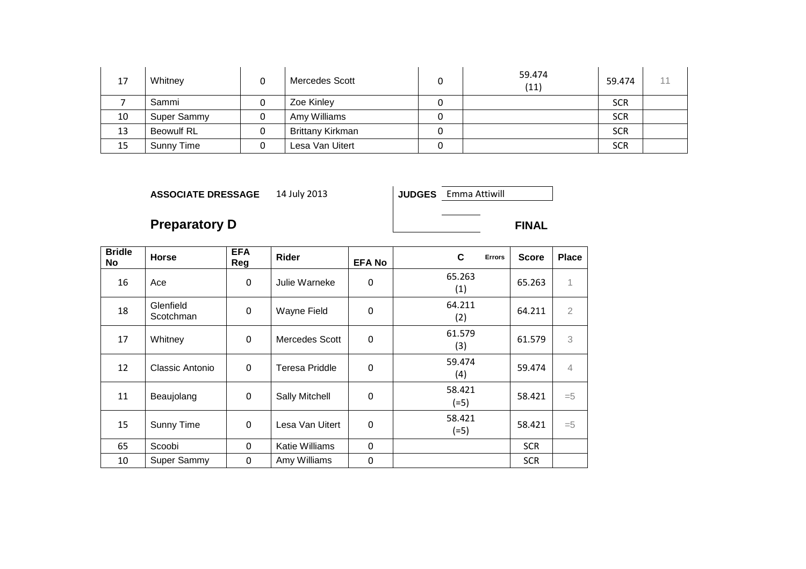| 17 | Whitney           | Mercedes Scott          | 59.474<br>(11) | 59.474     |  |
|----|-------------------|-------------------------|----------------|------------|--|
|    | Sammi             | Zoe Kinley              |                | <b>SCR</b> |  |
| 10 | Super Sammy       | Amy Williams            |                | <b>SCR</b> |  |
| 13 | <b>Beowulf RL</b> | <b>Brittany Kirkman</b> |                | <b>SCR</b> |  |
| 15 | Sunny Time        | Lesa Van Uitert         |                | <b>SCR</b> |  |

JUDGES Emma Attiwill

# **Preparatory D** FINAL

| <b>Bridle</b><br><b>No</b> | <b>Horse</b>           | <b>EFA</b><br>Reg | <b>Rider</b>          | <b>EFA No</b> | C<br><b>Errors</b> | <b>Score</b> | <b>Place</b> |
|----------------------------|------------------------|-------------------|-----------------------|---------------|--------------------|--------------|--------------|
| 16                         | Ace                    | $\Omega$          | Julie Warneke         | 0             | 65.263<br>(1)      | 65.263       | 1            |
| 18                         | Glenfield<br>Scotchman | $\Omega$          | Wayne Field           | 0             | 64.211<br>(2)      | 64.211       | 2            |
| 17                         | Whitney                | $\Omega$          | Mercedes Scott        | 0             | 61.579<br>(3)      | 61.579       | 3            |
| 12                         | Classic Antonio        | $\Omega$          | <b>Teresa Priddle</b> | $\Omega$      | 59.474<br>(4)      | 59.474       | 4            |
| 11                         | Beaujolang             | $\Omega$          | Sally Mitchell        | 0             | 58.421<br>$(=5)$   | 58.421       | $=$ 5        |
| 15                         | Sunny Time             | $\Omega$          | Lesa Van Uitert       | 0             | 58.421<br>$(=5)$   | 58.421       | $=5$         |
| 65                         | Scoobi                 | $\mathbf{0}$      | Katie Williams        | 0             |                    | <b>SCR</b>   |              |
| 10                         | Super Sammy            | $\mathbf{0}$      | Amy Williams          | 0             |                    | <b>SCR</b>   |              |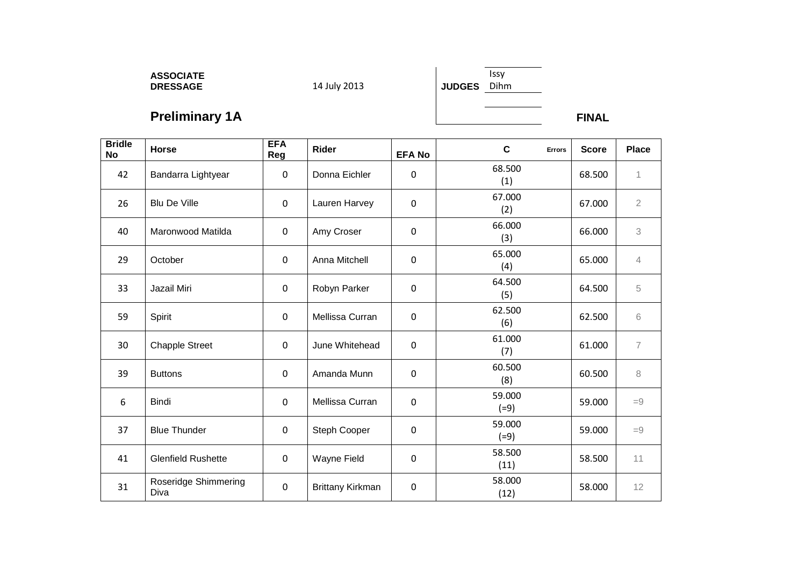# **ASSOCIATE DRESSAGE** 14 July 2013 **JUDGES**

Issy Dihm

**Preliminary 1A FINAL** 

| <b>Bridle</b><br><b>No</b> | Horse                        | <b>EFA</b><br>Reg | Rider            | <b>EFA No</b> | $\mathbf c$<br>Errors | <b>Score</b> | <b>Place</b>   |
|----------------------------|------------------------------|-------------------|------------------|---------------|-----------------------|--------------|----------------|
| 42                         | Bandarra Lightyear           | $\mathbf 0$       | Donna Eichler    | 0             | 68.500<br>(1)         | 68.500       | 1              |
| 26                         | <b>Blu De Ville</b>          | 0                 | Lauren Harvey    | 0             | 67.000<br>(2)         | 67.000       | $\overline{2}$ |
| 40                         | Maronwood Matilda            | 0                 | Amy Croser       | 0             | 66.000<br>(3)         | 66.000       | 3              |
| 29                         | October                      | $\mathbf 0$       | Anna Mitchell    | $\mathbf 0$   | 65.000<br>(4)         | 65.000       | $\overline{4}$ |
| 33                         | Jazail Miri                  | $\mathbf 0$       | Robyn Parker     | $\mathbf 0$   | 64.500<br>(5)         | 64.500       | 5              |
| 59                         | Spirit                       | $\mathbf 0$       | Mellissa Curran  | $\mathbf 0$   | 62.500<br>(6)         | 62.500       | 6              |
| 30                         | <b>Chapple Street</b>        | $\mathbf 0$       | June Whitehead   | $\mathbf 0$   | 61.000<br>(7)         | 61.000       | $\overline{7}$ |
| 39                         | <b>Buttons</b>               | $\mathbf{0}$      | Amanda Munn      | $\mathbf 0$   | 60.500<br>(8)         | 60.500       | 8              |
| 6                          | Bindi                        | $\mathbf 0$       | Mellissa Curran  | $\mathbf 0$   | 59.000<br>$(=9)$      | 59.000       | $=9$           |
| 37                         | <b>Blue Thunder</b>          | 0                 | Steph Cooper     | 0             | 59.000<br>$(=9)$      | 59.000       | $=9$           |
| 41                         | <b>Glenfield Rushette</b>    | 0                 | Wayne Field      | $\mathbf 0$   | 58.500<br>(11)        | 58.500       | 11             |
| 31                         | Roseridge Shimmering<br>Diva | $\mathbf 0$       | Brittany Kirkman | $\mathbf 0$   | 58.000<br>(12)        | 58.000       | 12             |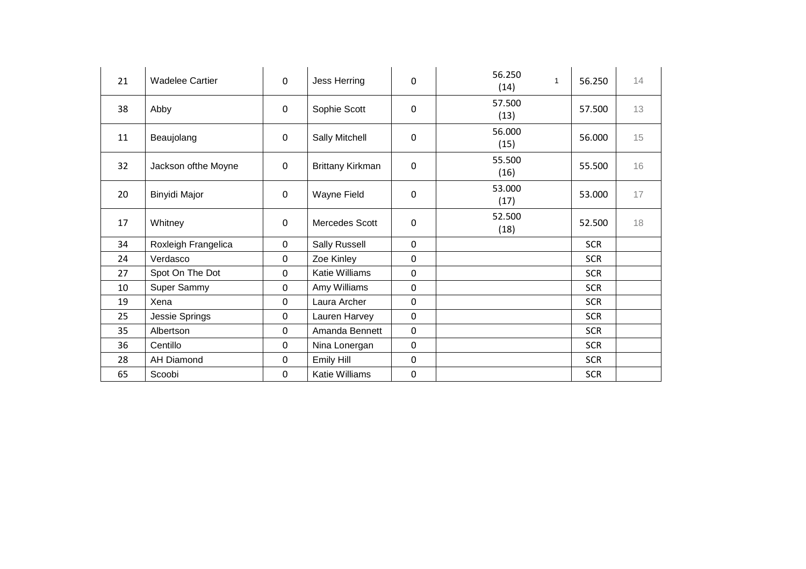| 21 | <b>Wadelee Cartier</b> | $\Omega$     | Jess Herring            | $\mathbf 0$      | 56.250<br>(14) | 56.250     | 14 |
|----|------------------------|--------------|-------------------------|------------------|----------------|------------|----|
| 38 | Abby                   | 0            | Sophie Scott            | $\mathbf 0$      | 57.500<br>(13) | 57.500     | 13 |
| 11 | Beaujolang             | $\mathbf 0$  | Sally Mitchell          | $\mathbf 0$      | 56.000<br>(15) | 56.000     | 15 |
| 32 | Jackson ofthe Moyne    | 0            | <b>Brittany Kirkman</b> | $\mathbf 0$      | 55.500<br>(16) | 55.500     | 16 |
| 20 | Binyidi Major          | $\mathbf{0}$ | Wayne Field             | $\mathbf 0$      | 53.000<br>(17) | 53.000     | 17 |
| 17 | Whitney                | $\mathbf 0$  | Mercedes Scott          | $\mathbf 0$      | 52.500<br>(18) | 52.500     | 18 |
| 34 | Roxleigh Frangelica    | $\mathbf 0$  | Sally Russell           | $\mathbf 0$      |                | <b>SCR</b> |    |
| 24 | Verdasco               | $\mathbf 0$  | Zoe Kinley              | $\boldsymbol{0}$ |                | <b>SCR</b> |    |
| 27 | Spot On The Dot        | 0            | <b>Katie Williams</b>   | $\mathbf 0$      |                | <b>SCR</b> |    |
| 10 | Super Sammy            | 0            | Amy Williams            | $\mathbf 0$      |                | <b>SCR</b> |    |
| 19 | Xena                   | $\mathbf 0$  | Laura Archer            | $\mathbf 0$      |                | <b>SCR</b> |    |
| 25 | Jessie Springs         | $\mathbf 0$  | Lauren Harvey           | $\mathbf 0$      |                | <b>SCR</b> |    |
| 35 | Albertson              | 0            | Amanda Bennett          | $\mathbf 0$      |                | <b>SCR</b> |    |
| 36 | Centillo               | 0            | Nina Lonergan           | $\mathbf 0$      |                | <b>SCR</b> |    |
| 28 | <b>AH Diamond</b>      | $\mathbf 0$  | Emily Hill              | $\mathbf 0$      |                | <b>SCR</b> |    |
| 65 | Scoobi                 | 0            | <b>Katie Williams</b>   | $\boldsymbol{0}$ |                | <b>SCR</b> |    |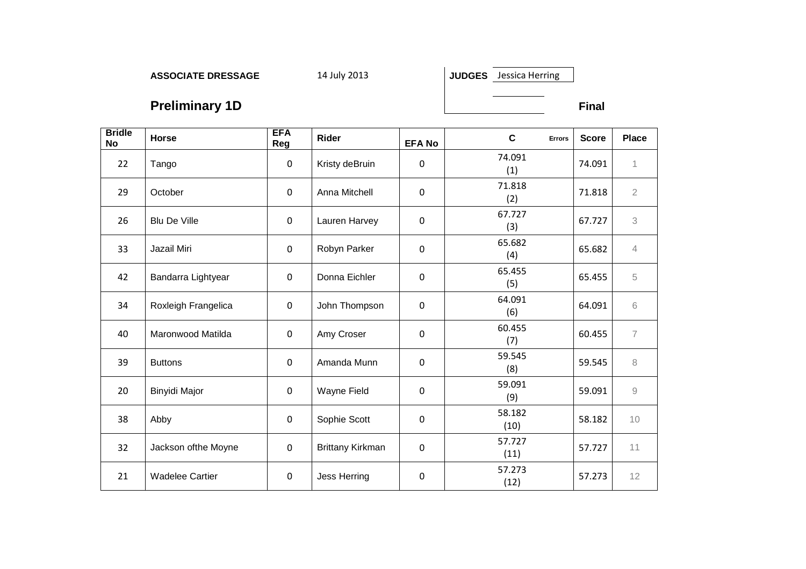JUDGES Jessica Herring

**Preliminary 1D Final Final Final Final** 

| <b>Bridle</b><br><b>No</b> | Horse                  | <b>EFA</b><br>Reg | Rider            | <b>EFA No</b> | $\mathbf c$<br><b>Errors</b> | <b>Score</b> | <b>Place</b>   |
|----------------------------|------------------------|-------------------|------------------|---------------|------------------------------|--------------|----------------|
| 22                         | Tango                  | $\mathbf 0$       | Kristy deBruin   | $\mathbf{0}$  | 74.091<br>(1)                | 74.091       | 1              |
| 29                         | October                | $\mathbf 0$       | Anna Mitchell    | $\mathbf 0$   | 71.818<br>(2)                | 71.818       | $\overline{2}$ |
| 26                         | Blu De Ville           | $\mathbf 0$       | Lauren Harvey    | $\mathbf 0$   | 67.727<br>(3)                | 67.727       | $\mathfrak{Z}$ |
| 33                         | Jazail Miri            | $\mathbf 0$       | Robyn Parker     | $\mathbf 0$   | 65.682<br>(4)                | 65.682       | $\overline{4}$ |
| 42                         | Bandarra Lightyear     | $\mathbf 0$       | Donna Eichler    | $\mathbf 0$   | 65.455<br>(5)                | 65.455       | 5              |
| 34                         | Roxleigh Frangelica    | $\mathbf 0$       | John Thompson    | $\mathbf 0$   | 64.091<br>(6)                | 64.091       | 6              |
| 40                         | Maronwood Matilda      | $\mathbf 0$       | Amy Croser       | $\mathbf 0$   | 60.455<br>(7)                | 60.455       | $\overline{7}$ |
| 39                         | <b>Buttons</b>         | $\mathbf 0$       | Amanda Munn      | 0             | 59.545<br>(8)                | 59.545       | 8              |
| 20                         | Binyidi Major          | $\mathbf 0$       | Wayne Field      | $\mathbf 0$   | 59.091<br>(9)                | 59.091       | $\mathcal{G}$  |
| 38                         | Abby                   | $\mathbf 0$       | Sophie Scott     | $\mathbf 0$   | 58.182<br>(10)               | 58.182       | 10             |
| 32                         | Jackson ofthe Moyne    | $\mathbf 0$       | Brittany Kirkman | $\mathbf 0$   | 57.727<br>(11)               | 57.727       | 11             |
| 21                         | <b>Wadelee Cartier</b> | $\pmb{0}$         | Jess Herring     | $\mathbf 0$   | 57.273<br>(12)               | 57.273       | 12             |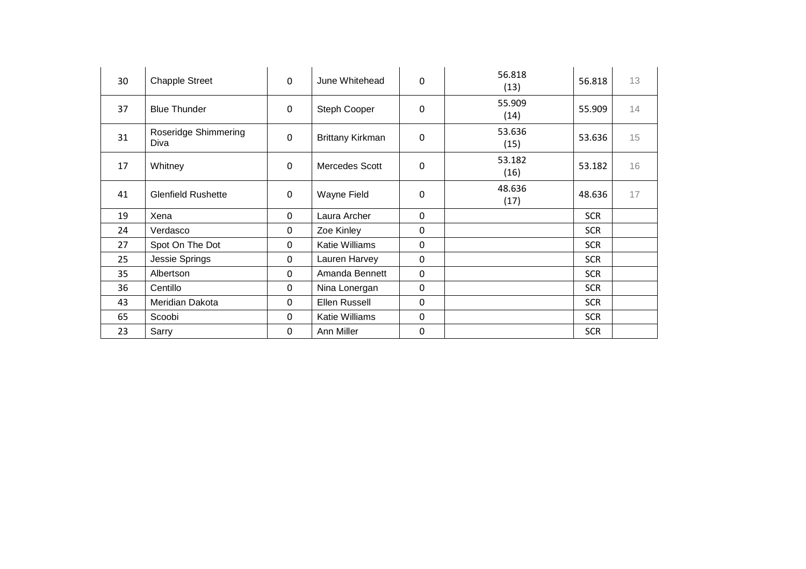| 30 | <b>Chapple Street</b>        | $\mathbf 0$ | June Whitehead   | 0           | 56.818<br>(13) | 56.818     | 13 |
|----|------------------------------|-------------|------------------|-------------|----------------|------------|----|
| 37 | <b>Blue Thunder</b>          | $\pmb{0}$   | Steph Cooper     | 0           | 55.909<br>(14) | 55.909     | 14 |
| 31 | Roseridge Shimmering<br>Diva | $\mathbf 0$ | Brittany Kirkman | 0           | 53.636<br>(15) | 53.636     | 15 |
| 17 | Whitney                      | $\mathbf 0$ | Mercedes Scott   | 0           | 53.182<br>(16) | 53.182     | 16 |
| 41 | <b>Glenfield Rushette</b>    | $\mathbf 0$ | Wayne Field      | $\Omega$    | 48.636<br>(17) | 48.636     | 17 |
| 19 | Xena                         | 0           | Laura Archer     | 0           |                | <b>SCR</b> |    |
| 24 | Verdasco                     | 0           | Zoe Kinley       | 0           |                | <b>SCR</b> |    |
| 27 | Spot On The Dot              | 0           | Katie Williams   | 0           |                | <b>SCR</b> |    |
| 25 | Jessie Springs               | 0           | Lauren Harvey    | 0           |                | <b>SCR</b> |    |
| 35 | Albertson                    | 0           | Amanda Bennett   | $\mathbf 0$ |                | <b>SCR</b> |    |
| 36 | Centillo                     | 0           | Nina Lonergan    | 0           |                | <b>SCR</b> |    |
| 43 | Meridian Dakota              | 0           | Ellen Russell    | 0           |                | <b>SCR</b> |    |
| 65 | Scoobi                       | $\Omega$    | Katie Williams   | $\Omega$    |                | <b>SCR</b> |    |
| 23 | Sarry                        | 0           | Ann Miller       | 0           |                | <b>SCR</b> |    |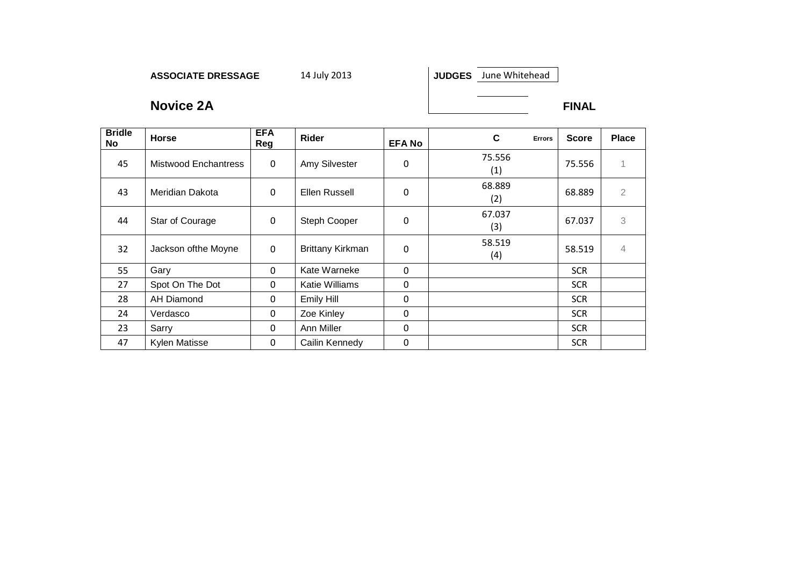JUDGES June Whitehead

**Novice 2A FINAL** 

| <b>Bridle</b><br><b>No</b> | Horse                | <b>EFA</b><br>Reg | Rider                   | <b>EFA No</b> | C<br><b>Errors</b> | <b>Score</b> | <b>Place</b>   |
|----------------------------|----------------------|-------------------|-------------------------|---------------|--------------------|--------------|----------------|
| 45                         | Mistwood Enchantress | $\mathbf 0$       | Amy Silvester           | 0             | 75.556<br>(1)      | 75.556       |                |
| 43                         | Meridian Dakota      | $\mathbf 0$       | Ellen Russell           | 0             | 68.889<br>(2)      | 68.889       | $\mathbf{2}$   |
| 44                         | Star of Courage      | 0                 | Steph Cooper            | 0             | 67.037<br>(3)      | 67.037       | 3              |
| 32                         | Jackson ofthe Moyne  | $\mathbf 0$       | <b>Brittany Kirkman</b> | 0             | 58.519<br>(4)      | 58.519       | $\overline{4}$ |
| 55                         | Gary                 | $\mathbf{0}$      | Kate Warneke            | $\mathbf{0}$  |                    | <b>SCR</b>   |                |
| 27                         | Spot On The Dot      | 0                 | Katie Williams          | 0             |                    | <b>SCR</b>   |                |
| 28                         | <b>AH Diamond</b>    | $\mathbf 0$       | Emily Hill              | $\mathbf 0$   |                    | <b>SCR</b>   |                |
| 24                         | Verdasco             | $\mathbf{0}$      | Zoe Kinley              | $\mathbf{0}$  |                    | <b>SCR</b>   |                |
| 23                         | Sarry                | 0                 | Ann Miller              | 0             |                    | <b>SCR</b>   |                |
| 47                         | <b>Kylen Matisse</b> | $\Omega$          | Cailin Kennedy          | $\mathbf{0}$  |                    | <b>SCR</b>   |                |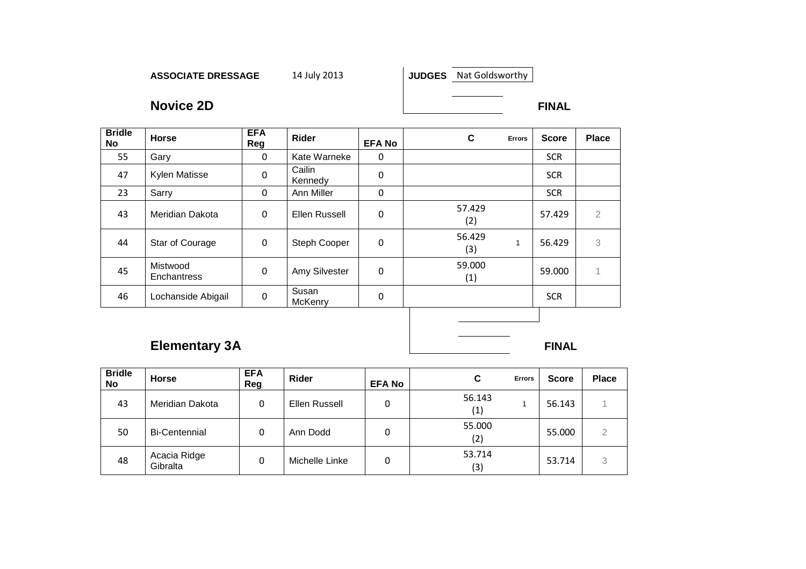**JUDGES** Nat Goldsworthy

**Novice 2D** FINAL

| <b>Bridle</b><br>No | <b>Horse</b>                   | <b>EFA</b><br>Reg | Rider             | <b>EFA No</b> | C             | <b>Errors</b> | <b>Score</b> | <b>Place</b>   |
|---------------------|--------------------------------|-------------------|-------------------|---------------|---------------|---------------|--------------|----------------|
| 55                  | Gary                           | $\mathbf{0}$      | Kate Warneke      | 0             |               |               | <b>SCR</b>   |                |
| 47                  | Kylen Matisse                  | 0                 | Cailin<br>Kennedy | $\mathbf 0$   |               |               | <b>SCR</b>   |                |
| 23                  | Sarry                          | $\Omega$          | Ann Miller        | 0             |               |               | <b>SCR</b>   |                |
| 43                  | Meridian Dakota                | 0                 | Ellen Russell     | $\mathbf 0$   | 57.429<br>(2) |               | 57.429       | $\overline{2}$ |
| 44                  | Star of Courage                | $\mathbf 0$       | Steph Cooper      | 0             | 56.429<br>(3) | 1             | 56.429       | 3              |
| 45                  | Mistwood<br><b>Enchantress</b> | $\mathbf 0$       | Amy Silvester     | $\mathbf 0$   | 59.000<br>(1) |               | 59.000       |                |
| 46                  | Lochanside Abigail             | $\mathbf 0$       | Susan<br>McKenry  | 0             |               |               | <b>SCR</b>   |                |
|                     |                                |                   |                   |               |               |               |              |                |

# **Elementary 3A FINAL**

| <b>Bridle</b><br>No | <b>Horse</b>             | <b>EFA</b><br>Reg | Rider          | <b>EFA No</b> | С<br><b>Errors</b> | <b>Score</b> | <b>Place</b> |
|---------------------|--------------------------|-------------------|----------------|---------------|--------------------|--------------|--------------|
| 43                  | Meridian Dakota          | 0                 | Ellen Russell  | 0             | 56.143<br>(1)      | 56.143       |              |
| 50                  | <b>Bi-Centennial</b>     | 0                 | Ann Dodd       | 0             | 55.000<br>(2)      | 55.000       | っ            |
| 48                  | Acacia Ridge<br>Gibralta |                   | Michelle Linke | 0             | 53.714<br>(3)      | 53.714       | 3            |